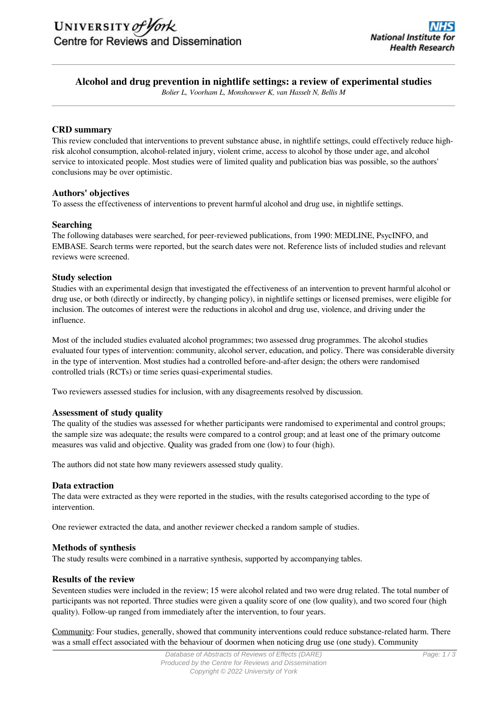# **Alcohol and drug prevention in nightlife settings: a review of experimental studies**

*Bolier L, Voorham L, Monshouwer K, van Hasselt N, Bellis M*

# **CRD summary**

This review concluded that interventions to prevent substance abuse, in nightlife settings, could effectively reduce highrisk alcohol consumption, alcohol-related injury, violent crime, access to alcohol by those under age, and alcohol service to intoxicated people. Most studies were of limited quality and publication bias was possible, so the authors' conclusions may be over optimistic.

# **Authors' objectives**

To assess the effectiveness of interventions to prevent harmful alcohol and drug use, in nightlife settings.

#### **Searching**

The following databases were searched, for peer-reviewed publications, from 1990: MEDLINE, PsycINFO, and EMBASE. Search terms were reported, but the search dates were not. Reference lists of included studies and relevant reviews were screened.

#### **Study selection**

Studies with an experimental design that investigated the effectiveness of an intervention to prevent harmful alcohol or drug use, or both (directly or indirectly, by changing policy), in nightlife settings or licensed premises, were eligible for inclusion. The outcomes of interest were the reductions in alcohol and drug use, violence, and driving under the influence.

Most of the included studies evaluated alcohol programmes; two assessed drug programmes. The alcohol studies evaluated four types of intervention: community, alcohol server, education, and policy. There was considerable diversity in the type of intervention. Most studies had a controlled before-and-after design; the others were randomised controlled trials (RCTs) or time series quasi-experimental studies.

Two reviewers assessed studies for inclusion, with any disagreements resolved by discussion.

# **Assessment of study quality**

The quality of the studies was assessed for whether participants were randomised to experimental and control groups; the sample size was adequate; the results were compared to a control group; and at least one of the primary outcome measures was valid and objective. Quality was graded from one (low) to four (high).

The authors did not state how many reviewers assessed study quality.

#### **Data extraction**

The data were extracted as they were reported in the studies, with the results categorised according to the type of intervention.

One reviewer extracted the data, and another reviewer checked a random sample of studies.

#### **Methods of synthesis**

The study results were combined in a narrative synthesis, supported by accompanying tables.

#### **Results of the review**

Seventeen studies were included in the review; 15 were alcohol related and two were drug related. The total number of participants was not reported. Three studies were given a quality score of one (low quality), and two scored four (high quality). Follow-up ranged from immediately after the intervention, to four years.

Community: Four studies, generally, showed that community interventions could reduce substance-related harm. There was a small effect associated with the behaviour of doormen when noticing drug use (one study). Community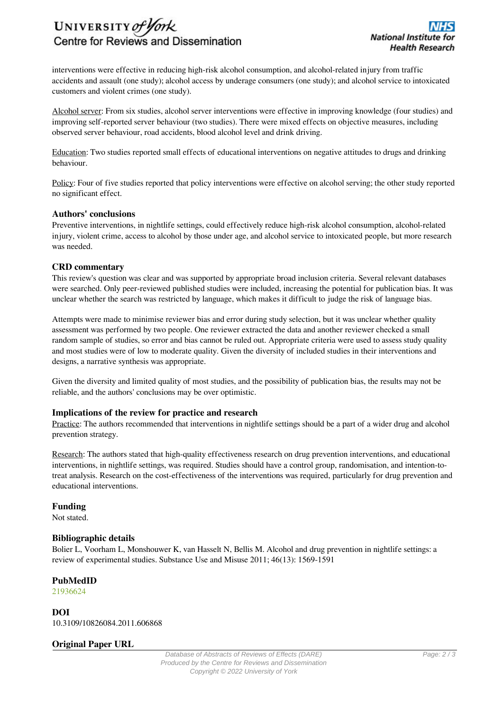# UNIVERSITY of York Centre for Reviews and Dissemination

interventions were effective in reducing high-risk alcohol consumption, and alcohol-related injury from traffic accidents and assault (one study); alcohol access by underage consumers (one study); and alcohol service to intoxicated customers and violent crimes (one study).

Alcohol server: From six studies, alcohol server interventions were effective in improving knowledge (four studies) and improving self-reported server behaviour (two studies). There were mixed effects on objective measures, including observed server behaviour, road accidents, blood alcohol level and drink driving.

Education: Two studies reported small effects of educational interventions on negative attitudes to drugs and drinking behaviour.

Policy: Four of five studies reported that policy interventions were effective on alcohol serving; the other study reported no significant effect.

# **Authors' conclusions**

Preventive interventions, in nightlife settings, could effectively reduce high-risk alcohol consumption, alcohol-related injury, violent crime, access to alcohol by those under age, and alcohol service to intoxicated people, but more research was needed.

#### **CRD commentary**

This review's question was clear and was supported by appropriate broad inclusion criteria. Several relevant databases were searched. Only peer-reviewed published studies were included, increasing the potential for publication bias. It was unclear whether the search was restricted by language, which makes it difficult to judge the risk of language bias.

Attempts were made to minimise reviewer bias and error during study selection, but it was unclear whether quality assessment was performed by two people. One reviewer extracted the data and another reviewer checked a small random sample of studies, so error and bias cannot be ruled out. Appropriate criteria were used to assess study quality and most studies were of low to moderate quality. Given the diversity of included studies in their interventions and designs, a narrative synthesis was appropriate.

Given the diversity and limited quality of most studies, and the possibility of publication bias, the results may not be reliable, and the authors' conclusions may be over optimistic.

# **Implications of the review for practice and research**

Practice: The authors recommended that interventions in nightlife settings should be a part of a wider drug and alcohol prevention strategy.

Research: The authors stated that high-quality effectiveness research on drug prevention interventions, and educational interventions, in nightlife settings, was required. Studies should have a control group, randomisation, and intention-totreat analysis. Research on the cost-effectiveness of the interventions was required, particularly for drug prevention and educational interventions.

# **Funding**

Not stated.

# **Bibliographic details**

Bolier L, Voorham L, Monshouwer K, van Hasselt N, Bellis M. Alcohol and drug prevention in nightlife settings: a review of experimental studies. Substance Use and Misuse 2011; 46(13): 1569-1591

# **PubMedID**

[21936624](http://www.ncbi.nlm.nih.gov/pubmed?term=21936624)

**DOI** 10.3109/10826084.2011.606868

# **Original Paper URL**